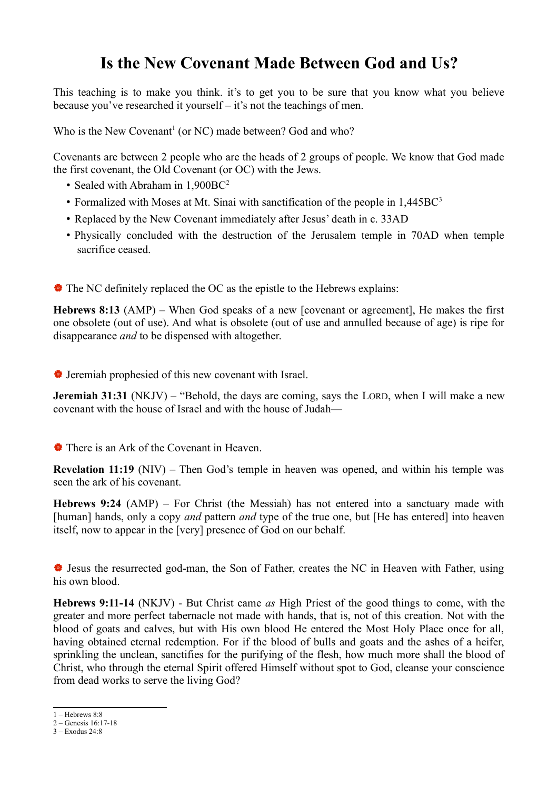## **Is the New Covenant Made Between God and Us?**

This teaching is to make you think. it's to get you to be sure that you know what you believe because you've researched it yourself – it's not the teachings of men.

Who is the New Covenant<sup>[1](#page-0-0)</sup> (or NC) made between? God and who?

Covenants are between 2 people who are the heads of 2 groups of people. We know that God made the first covenant, the Old Covenant (or OC) with the Jews.

- Sealed with Abraham in 1,900BC<sup>[2](#page-0-1)</sup>
- Formalized with Moses at Mt. Sinai with sanctification of the people in 1,445BC<sup>[3](#page-0-2)</sup>
- Replaced by the New Covenant immediately after Jesus' death in c. 33AD
- Physically concluded with the destruction of the Jerusalem temple in 70AD when temple sacrifice ceased.
- The NC definitely replaced the OC as the epistle to the Hebrews explains:

**Hebrews 8:13** (AMP) – When God speaks of a new [covenant or agreement], He makes the first one obsolete (out of use). And what is obsolete (out of use and annulled because of age) is ripe for disappearance *and* to be dispensed with altogether.

Jeremiah prophesied of this new covenant with Israel.

**Jeremiah 31:31** (NKJV) – "Behold, the days are coming, says the LORD, when I will make a new covenant with the house of Israel and with the house of Judah—

## There is an Ark of the Covenant in Heaven.

**Revelation 11:19** (NIV) – Then God's temple in heaven was opened, and within his temple was seen the ark of his covenant.

**Hebrews 9:24** (AMP) – For Christ (the Messiah) has not entered into a sanctuary made with [human] hands, only a copy *and* pattern *and* type of the true one, but [He has entered] into heaven itself, now to appear in the [very] presence of God on our behalf.

 Jesus the resurrected god-man, the Son of Father, creates the NC in Heaven with Father, using his own blood.

**Hebrews 9:11-14** (NKJV) - But Christ came *as* High Priest of the good things to come, with the greater and more perfect tabernacle not made with hands, that is, not of this creation. Not with the blood of goats and calves, but with His own blood He entered the Most Holy Place once for all, having obtained eternal redemption. For if the blood of bulls and goats and the ashes of a heifer, sprinkling the unclean, sanctifies for the purifying of the flesh, how much more shall the blood of Christ, who through the eternal Spirit offered Himself without spot to God, cleanse your conscience from dead works to serve the living God?

<span id="page-0-0"></span> $1 -$ Hebrews  $8.8$ 

<span id="page-0-1"></span><sup>2 –</sup> Genesis 16:17-18

<span id="page-0-2"></span><sup>3 –</sup> Exodus 24:8